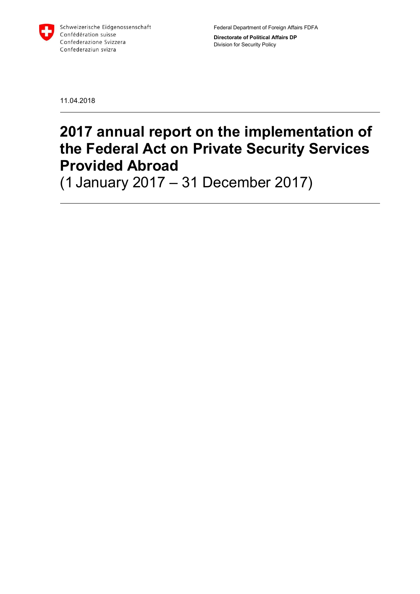

Federal Department of Foreign Affairs FDFA Directorate of Political Affairs DP Division for Security Policy

11.04.2018

## 2017 annual report on the implementation of the Federal Act on Private Security Services Provided Abroad

(1 January 2017 – 31 December 2017)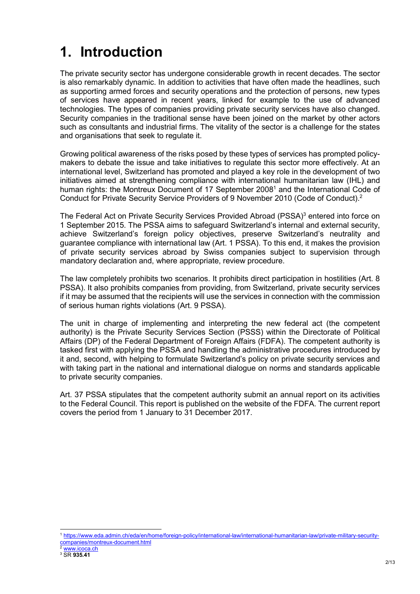# 1. Introduction

The private security sector has undergone considerable growth in recent decades. The sector is also remarkably dynamic. In addition to activities that have often made the headlines, such as supporting armed forces and security operations and the protection of persons, new types of services have appeared in recent years, linked for example to the use of advanced technologies. The types of companies providing private security services have also changed. Security companies in the traditional sense have been joined on the market by other actors such as consultants and industrial firms. The vitality of the sector is a challenge for the states and organisations that seek to regulate it.

Growing political awareness of the risks posed by these types of services has prompted policymakers to debate the issue and take initiatives to regulate this sector more effectively. At an international level, Switzerland has promoted and played a key role in the development of two initiatives aimed at strengthening compliance with international humanitarian law (IHL) and human rights: the Montreux Document of 17 September 2008<sup>1</sup> and the International Code of Conduct for Private Security Service Providers of 9 November 2010 (Code of Conduct).<sup>2</sup>

The Federal Act on Private Security Services Provided Abroad (PSSA)<sup>3</sup> entered into force on 1 September 2015. The PSSA aims to safeguard Switzerland's internal and external security, achieve Switzerland's foreign policy objectives, preserve Switzerland's neutrality and guarantee compliance with international law (Art. 1 PSSA). To this end, it makes the provision of private security services abroad by Swiss companies subject to supervision through mandatory declaration and, where appropriate, review procedure.

The law completely prohibits two scenarios. It prohibits direct participation in hostilities (Art. 8 PSSA). It also prohibits companies from providing, from Switzerland, private security services if it may be assumed that the recipients will use the services in connection with the commission of serious human rights violations (Art. 9 PSSA).

The unit in charge of implementing and interpreting the new federal act (the competent authority) is the Private Security Services Section (PSSS) within the Directorate of Political Affairs (DP) of the Federal Department of Foreign Affairs (FDFA). The competent authority is tasked first with applying the PSSA and handling the administrative procedures introduced by it and, second, with helping to formulate Switzerland's policy on private security services and with taking part in the national and international dialogue on norms and standards applicable to private security companies.

Art. 37 PSSA stipulates that the competent authority submit an annual report on its activities to the Federal Council. This report is published on the website of the FDFA. The current report covers the period from 1 January to 31 December 2017.

-

<sup>1</sup> https://www.eda.admin.ch/eda/en/home/foreign-policy/international-law/international-humanitarian-law/private-military-securitycompanies/montreux-document.html

www.icoca.ch

 $^3$  SR 935.41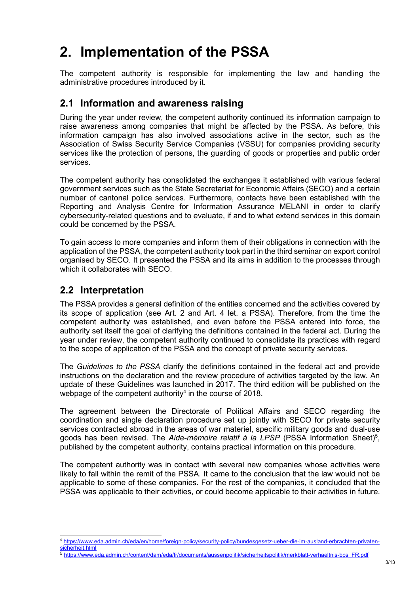# 2. Implementation of the PSSA

The competent authority is responsible for implementing the law and handling the administrative procedures introduced by it.

#### 2.1 Information and awareness raising

During the year under review, the competent authority continued its information campaign to raise awareness among companies that might be affected by the PSSA. As before, this information campaign has also involved associations active in the sector, such as the Association of Swiss Security Service Companies (VSSU) for companies providing security services like the protection of persons, the guarding of goods or properties and public order services.

The competent authority has consolidated the exchanges it established with various federal government services such as the State Secretariat for Economic Affairs (SECO) and a certain number of cantonal police services. Furthermore, contacts have been established with the Reporting and Analysis Centre for Information Assurance MELANI in order to clarify cybersecurity-related questions and to evaluate, if and to what extend services in this domain could be concerned by the PSSA.

To gain access to more companies and inform them of their obligations in connection with the application of the PSSA, the competent authority took part in the third seminar on export control organised by SECO. It presented the PSSA and its aims in addition to the processes through which it collaborates with SECO.

### 2.2 Interpretation

-

The PSSA provides a general definition of the entities concerned and the activities covered by its scope of application (see Art. 2 and Art. 4 let. a PSSA). Therefore, from the time the competent authority was established, and even before the PSSA entered into force, the authority set itself the goal of clarifying the definitions contained in the federal act. During the year under review, the competent authority continued to consolidate its practices with regard to the scope of application of the PSSA and the concept of private security services.

The Guidelines to the PSSA clarify the definitions contained in the federal act and provide instructions on the declaration and the review procedure of activities targeted by the law. An update of these Guidelines was launched in 2017. The third edition will be published on the webpage of the competent authority $4$  in the course of 2018.

The agreement between the Directorate of Political Affairs and SECO regarding the coordination and single declaration procedure set up jointly with SECO for private security services contracted abroad in the areas of war materiel, specific military goods and dual-use goods has been revised. The Aide-mémoire relatif à la LPSP (PSSA Information Sheet)<sup>5</sup>, published by the competent authority, contains practical information on this procedure.

The competent authority was in contact with several new companies whose activities were likely to fall within the remit of the PSSA. It came to the conclusion that the law would not be applicable to some of these companies. For the rest of the companies, it concluded that the PSSA was applicable to their activities, or could become applicable to their activities in future.

<sup>4</sup> https://www.eda.admin.ch/eda/en/home/foreign-policy/security-policy/bundesgesetz-ueber-die-im-ausland-erbrachten-privatensicherheit.html

<sup>5</sup> https://www.eda.admin.ch/content/dam/eda/fr/documents/aussenpolitik/sicherheitspolitik/merkblatt-verhaeltnis-bps\_FR.pdf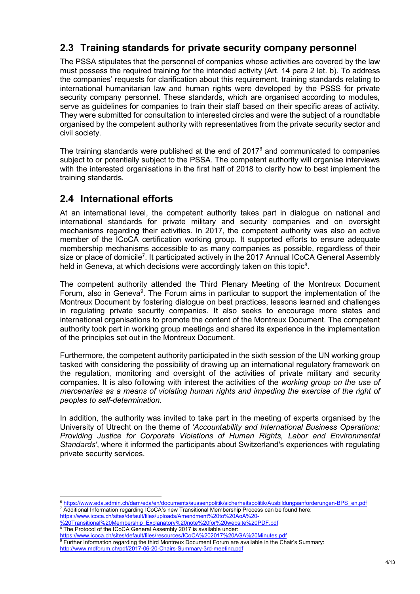### 2.3 Training standards for private security company personnel

The PSSA stipulates that the personnel of companies whose activities are covered by the law must possess the required training for the intended activity (Art. 14 para 2 let. b). To address the companies' requests for clarification about this requirement, training standards relating to international humanitarian law and human rights were developed by the PSSS for private security company personnel. These standards, which are organised according to modules, serve as guidelines for companies to train their staff based on their specific areas of activity. They were submitted for consultation to interested circles and were the subject of a roundtable organised by the competent authority with representatives from the private security sector and civil society.

The training standards were published at the end of  $2017<sup>6</sup>$  and communicated to companies subject to or potentially subject to the PSSA. The competent authority will organise interviews with the interested organisations in the first half of 2018 to clarify how to best implement the training standards.

#### 2.4 International efforts

At an international level, the competent authority takes part in dialogue on national and international standards for private military and security companies and on oversight mechanisms regarding their activities. In 2017, the competent authority was also an active member of the ICoCA certification working group. It supported efforts to ensure adequate membership mechanisms accessible to as many companies as possible, regardless of their size or place of domicile<sup>7</sup>. It participated actively in the 2017 Annual ICoCA General Assembly held in Geneva, at which decisions were accordingly taken on this topic<sup>8</sup>.

The competent authority attended the Third Plenary Meeting of the Montreux Document Forum, also in Geneva<sup>9</sup>. The Forum aims in particular to support the implementation of the Montreux Document by fostering dialogue on best practices, lessons learned and challenges in regulating private security companies. It also seeks to encourage more states and international organisations to promote the content of the Montreux Document. The competent authority took part in working group meetings and shared its experience in the implementation of the principles set out in the Montreux Document.

Furthermore, the competent authority participated in the sixth session of the UN working group tasked with considering the possibility of drawing up an international regulatory framework on the regulation, monitoring and oversight of the activities of private military and security companies. It is also following with interest the activities of the working group on the use of mercenaries as a means of violating human rights and impeding the exercise of the right of peoples to self-determination.

In addition, the authority was invited to take part in the meeting of experts organised by the University of Utrecht on the theme of 'Accountability and International Business Operations: Providing Justice for Corporate Violations of Human Rights, Labor and Environmental Standards', where it informed the participants about Switzerland's experiences with regulating private security services.

-

<sup>6</sup> https://www.eda.admin.ch/dam/eda/en/documents/aussenpolitik/sicherheitspolitik/Ausbildungsanforderungen-BPS\_en.pdf 7 Additional Information regarding ICoCA's new Transitional Membership Process can be found here:

https://www.icoca.ch/sites/default/files/uploads/Amendment%20to%20AoA%20- .<br>20Transitional%20Membership\_Explanatory%

<sup>&</sup>lt;sup>8</sup> The Protocol of the ICoCA General Assembly 2017 is available under:

https://www.icoca.ch/sites/default/files/resources/ICoCA%202017%20AGA%20Minutes.pdf

<sup>9</sup> Further Information regarding the third Montreux Document Forum are available in the Chair's Summary: http://www.mdforum.ch/pdf/2017-06-20-Chairs-Summary-3rd-meeting.pdf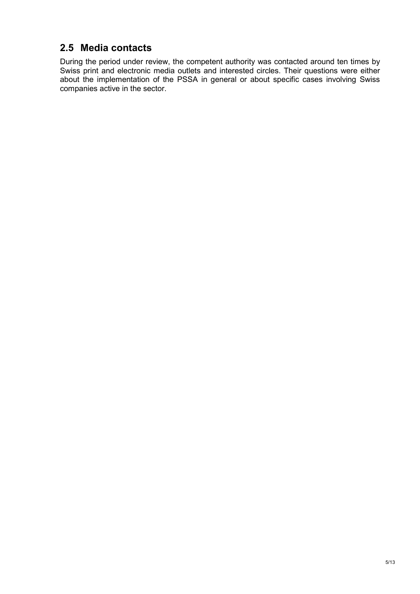### 2.5 Media contacts

During the period under review, the competent authority was contacted around ten times by Swiss print and electronic media outlets and interested circles. Their questions were either about the implementation of the PSSA in general or about specific cases involving Swiss companies active in the sector.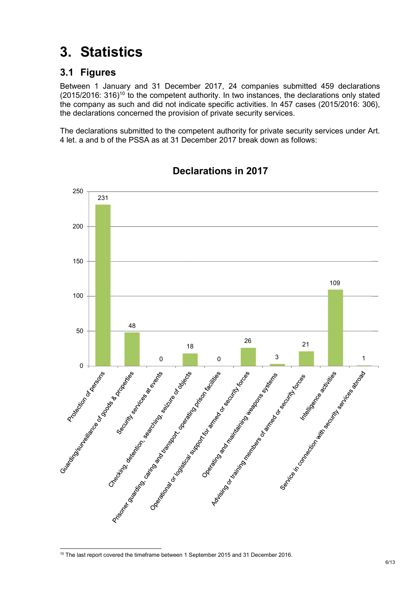# 3. Statistics

### 3.1 Figures

Between 1 January and 31 December 2017, 24 companies submitted 459 declarations  $(2015/2016: 316)^{10}$  to the competent authority. In two instances, the declarations only stated the company as such and did not indicate specific activities. In 457 cases (2015/2016: 306), the declarations concerned the provision of private security services.

The declarations submitted to the competent authority for private security services under Art. 4 let. a and b of the PSSA as at 31 December 2017 break down as follows:



#### Declarations in 2017

<sup>-</sup>The last report covered the timeframe between 1 September 2015 and 31 December 2016.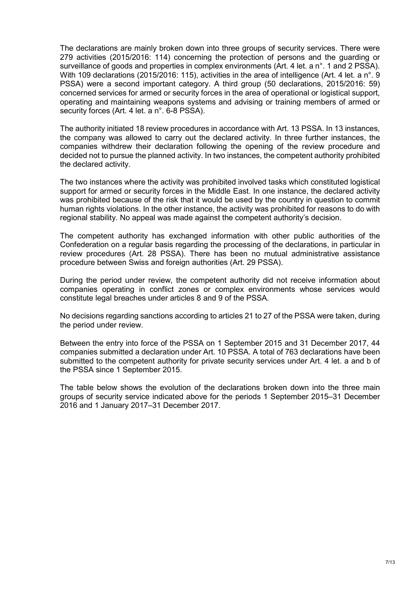The declarations are mainly broken down into three groups of security services. There were 279 activities (2015/2016: 114) concerning the protection of persons and the guarding or surveillance of goods and properties in complex environments (Art. 4 let. a n°. 1 and 2 PSSA). With 109 declarations (2015/2016: 115), activities in the area of intelligence (Art. 4 let. a n°, 9 PSSA) were a second important category. A third group (50 declarations, 2015/2016: 59) concerned services for armed or security forces in the area of operational or logistical support, operating and maintaining weapons systems and advising or training members of armed or security forces (Art. 4 let. a n°. 6-8 PSSA).

The authority initiated 18 review procedures in accordance with Art. 13 PSSA. In 13 instances, the company was allowed to carry out the declared activity. In three further instances, the companies withdrew their declaration following the opening of the review procedure and decided not to pursue the planned activity. In two instances, the competent authority prohibited the declared activity.

The two instances where the activity was prohibited involved tasks which constituted logistical support for armed or security forces in the Middle East. In one instance, the declared activity was prohibited because of the risk that it would be used by the country in question to commit human rights violations. In the other instance, the activity was prohibited for reasons to do with regional stability. No appeal was made against the competent authority's decision.

The competent authority has exchanged information with other public authorities of the Confederation on a regular basis regarding the processing of the declarations, in particular in review procedures (Art. 28 PSSA). There has been no mutual administrative assistance procedure between Swiss and foreign authorities (Art. 29 PSSA).

During the period under review, the competent authority did not receive information about companies operating in conflict zones or complex environments whose services would constitute legal breaches under articles 8 and 9 of the PSSA.

No decisions regarding sanctions according to articles 21 to 27 of the PSSA were taken, during the period under review.

Between the entry into force of the PSSA on 1 September 2015 and 31 December 2017, 44 companies submitted a declaration under Art. 10 PSSA. A total of 763 declarations have been submitted to the competent authority for private security services under Art. 4 let. a and b of the PSSA since 1 September 2015.

The table below shows the evolution of the declarations broken down into the three main groups of security service indicated above for the periods 1 September 2015–31 December 2016 and 1 January 2017–31 December 2017.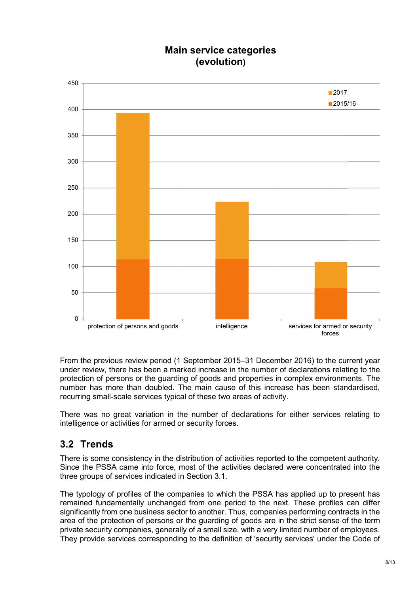### Main service categories (evolution)



From the previous review period (1 September 2015–31 December 2016) to the current year under review, there has been a marked increase in the number of declarations relating to the protection of persons or the guarding of goods and properties in complex environments. The number has more than doubled. The main cause of this increase has been standardised, recurring small-scale services typical of these two areas of activity.

There was no great variation in the number of declarations for either services relating to intelligence or activities for armed or security forces.

#### 3.2 Trends

There is some consistency in the distribution of activities reported to the competent authority. Since the PSSA came into force, most of the activities declared were concentrated into the three groups of services indicated in Section 3.1.

The typology of profiles of the companies to which the PSSA has applied up to present has remained fundamentally unchanged from one period to the next. These profiles can differ significantly from one business sector to another. Thus, companies performing contracts in the area of the protection of persons or the guarding of goods are in the strict sense of the term private security companies, generally of a small size, with a very limited number of employees. They provide services corresponding to the definition of 'security services' under the Code of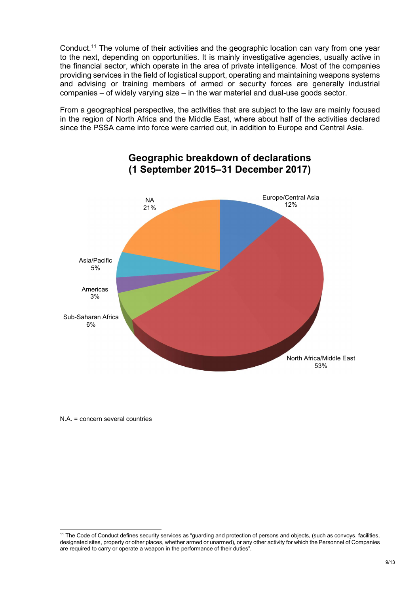Conduct.<sup>11</sup> The volume of their activities and the geographic location can vary from one year to the next, depending on opportunities. It is mainly investigative agencies, usually active in the financial sector, which operate in the area of private intelligence. Most of the companies providing services in the field of logistical support, operating and maintaining weapons systems and advising or training members of armed or security forces are generally industrial companies – of widely varying size – in the war materiel and dual-use goods sector.

From a geographical perspective, the activities that are subject to the law are mainly focused in the region of North Africa and the Middle East, where about half of the activities declared since the PSSA came into force were carried out, in addition to Europe and Central Asia.



#### Geographic breakdown of declarations (1 September 2015–31 December 2017)

N.A. = concern several countries

-

<sup>&</sup>lt;sup>11</sup> The Code of Conduct defines security services as "guarding and protection of persons and objects, (such as convoys, facilities, designated sites, property or other places, whether armed or unarmed), or any other activity for which the Personnel of Companies are required to carry or operate a weapon in the performance of their duties".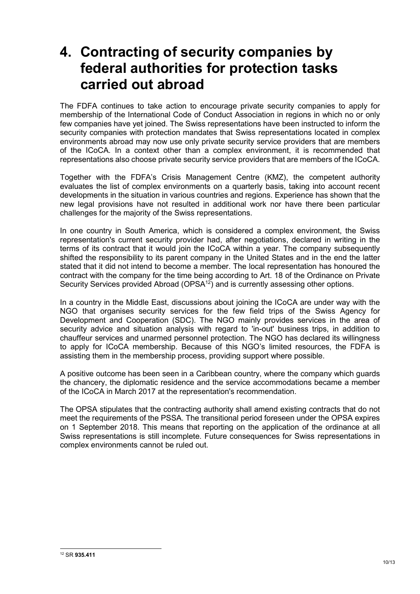### 4. Contracting of security companies by federal authorities for protection tasks carried out abroad

The FDFA continues to take action to encourage private security companies to apply for membership of the International Code of Conduct Association in regions in which no or only few companies have yet joined. The Swiss representations have been instructed to inform the security companies with protection mandates that Swiss representations located in complex environments abroad may now use only private security service providers that are members of the ICoCA. In a context other than a complex environment, it is recommended that representations also choose private security service providers that are members of the ICoCA.

Together with the FDFA's Crisis Management Centre (KMZ), the competent authority evaluates the list of complex environments on a quarterly basis, taking into account recent developments in the situation in various countries and regions. Experience has shown that the new legal provisions have not resulted in additional work nor have there been particular challenges for the majority of the Swiss representations.

In one country in South America, which is considered a complex environment, the Swiss representation's current security provider had, after negotiations, declared in writing in the terms of its contract that it would join the ICoCA within a year. The company subsequently shifted the responsibility to its parent company in the United States and in the end the latter stated that it did not intend to become a member. The local representation has honoured the contract with the company for the time being according to Art. 18 of the Ordinance on Private Security Services provided Abroad ( $OPSA^{12}$ ) and is currently assessing other options.

In a country in the Middle East, discussions about joining the ICoCA are under way with the NGO that organises security services for the few field trips of the Swiss Agency for Development and Cooperation (SDC). The NGO mainly provides services in the area of security advice and situation analysis with regard to 'in-out' business trips, in addition to chauffeur services and unarmed personnel protection. The NGO has declared its willingness to apply for ICoCA membership. Because of this NGO's limited resources, the FDFA is assisting them in the membership process, providing support where possible.

A positive outcome has been seen in a Caribbean country, where the company which guards the chancery, the diplomatic residence and the service accommodations became a member of the ICoCA in March 2017 at the representation's recommendation.

The OPSA stipulates that the contracting authority shall amend existing contracts that do not meet the requirements of the PSSA. The transitional period foreseen under the OPSA expires on 1 September 2018. This means that reporting on the application of the ordinance at all Swiss representations is still incomplete. Future consequences for Swiss representations in complex environments cannot be ruled out.

<sup>-</sup>12 SR 935.411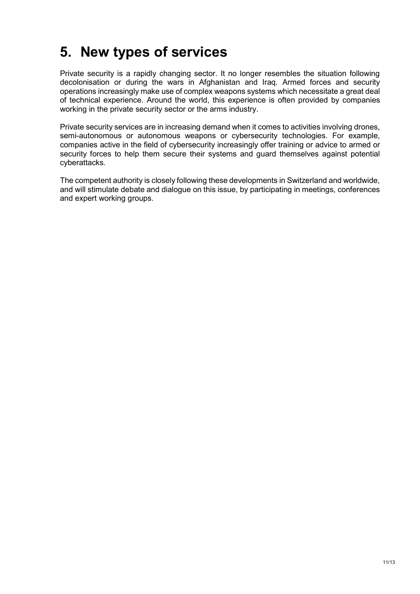# 5. New types of services

Private security is a rapidly changing sector. It no longer resembles the situation following decolonisation or during the wars in Afghanistan and Iraq. Armed forces and security operations increasingly make use of complex weapons systems which necessitate a great deal of technical experience. Around the world, this experience is often provided by companies working in the private security sector or the arms industry.

Private security services are in increasing demand when it comes to activities involving drones, semi-autonomous or autonomous weapons or cybersecurity technologies. For example, companies active in the field of cybersecurity increasingly offer training or advice to armed or security forces to help them secure their systems and guard themselves against potential cyberattacks.

The competent authority is closely following these developments in Switzerland and worldwide, and will stimulate debate and dialogue on this issue, by participating in meetings, conferences and expert working groups.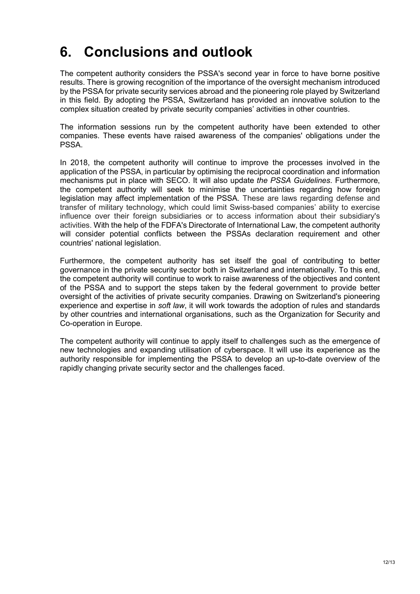# 6. Conclusions and outlook

The competent authority considers the PSSA's second year in force to have borne positive results. There is growing recognition of the importance of the oversight mechanism introduced by the PSSA for private security services abroad and the pioneering role played by Switzerland in this field. By adopting the PSSA, Switzerland has provided an innovative solution to the complex situation created by private security companies' activities in other countries.

The information sessions run by the competent authority have been extended to other companies. These events have raised awareness of the companies' obligations under the **PSSA** 

In 2018, the competent authority will continue to improve the processes involved in the application of the PSSA, in particular by optimising the reciprocal coordination and information mechanisms put in place with SECO. It will also update the PSSA Guidelines. Furthermore, the competent authority will seek to minimise the uncertainties regarding how foreign legislation may affect implementation of the PSSA. These are laws regarding defense and transfer of military technology, which could limit Swiss-based companies' ability to exercise influence over their foreign subsidiaries or to access information about their subsidiary's activities. With the help of the FDFA's Directorate of International Law, the competent authority will consider potential conflicts between the PSSAs declaration requirement and other countries' national legislation.

Furthermore, the competent authority has set itself the goal of contributing to better governance in the private security sector both in Switzerland and internationally. To this end, the competent authority will continue to work to raise awareness of the objectives and content of the PSSA and to support the steps taken by the federal government to provide better oversight of the activities of private security companies. Drawing on Switzerland's pioneering experience and expertise in soft law, it will work towards the adoption of rules and standards by other countries and international organisations, such as the Organization for Security and Co-operation in Europe.

The competent authority will continue to apply itself to challenges such as the emergence of new technologies and expanding utilisation of cyberspace. It will use its experience as the authority responsible for implementing the PSSA to develop an up-to-date overview of the rapidly changing private security sector and the challenges faced.